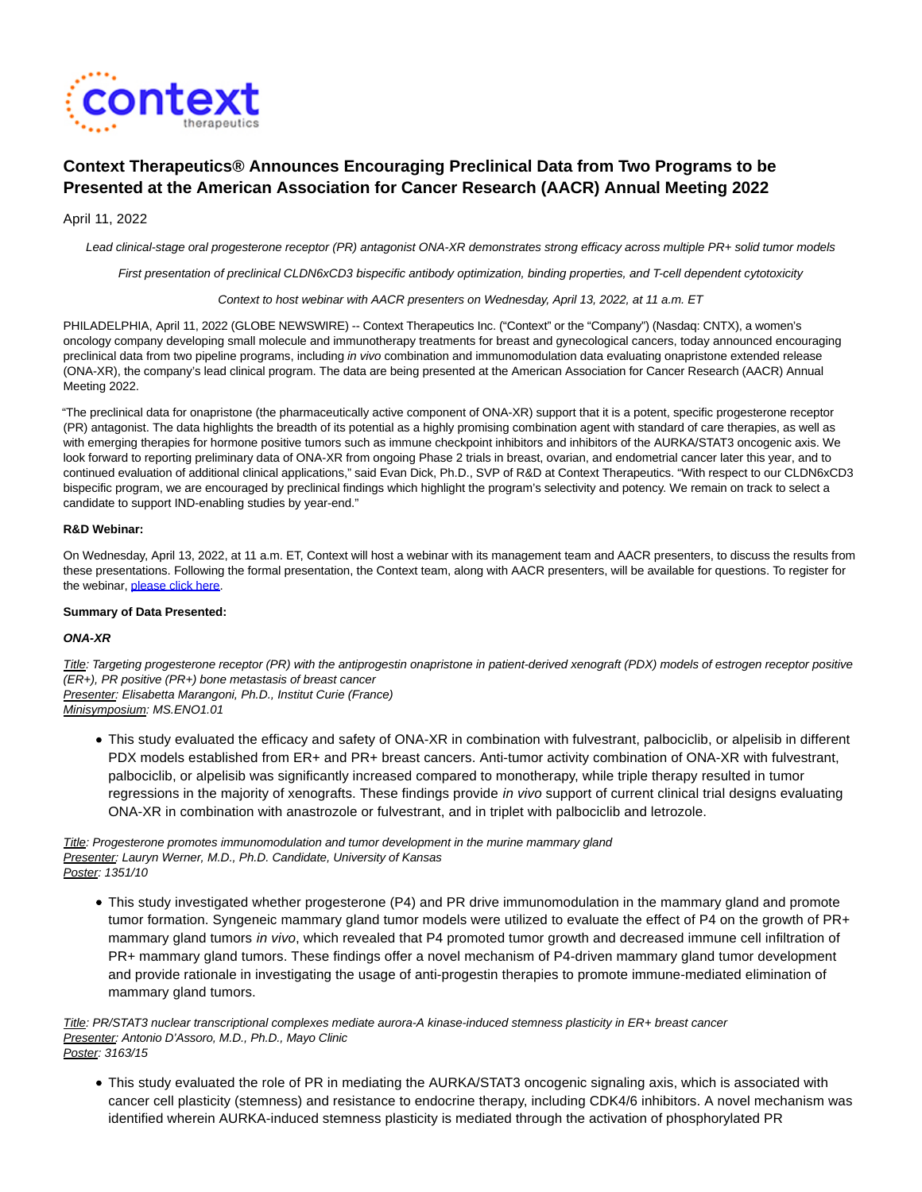

# **Context Therapeutics® Announces Encouraging Preclinical Data from Two Programs to be Presented at the American Association for Cancer Research (AACR) Annual Meeting 2022**

## April 11, 2022

Lead clinical-stage oral progesterone receptor (PR) antagonist ONA-XR demonstrates strong efficacy across multiple PR+ solid tumor models

First presentation of preclinical CLDN6xCD3 bispecific antibody optimization, binding properties, and T-cell dependent cytotoxicity

Context to host webinar with AACR presenters on Wednesday, April 13, 2022, at 11 a.m. ET

PHILADELPHIA, April 11, 2022 (GLOBE NEWSWIRE) -- Context Therapeutics Inc. ("Context" or the "Company") (Nasdaq: CNTX), a women's oncology company developing small molecule and immunotherapy treatments for breast and gynecological cancers, today announced encouraging preclinical data from two pipeline programs, including in vivo combination and immunomodulation data evaluating onapristone extended release (ONA-XR), the company's lead clinical program. The data are being presented at the American Association for Cancer Research (AACR) Annual Meeting 2022.

"The preclinical data for onapristone (the pharmaceutically active component of ONA-XR) support that it is a potent, specific progesterone receptor (PR) antagonist. The data highlights the breadth of its potential as a highly promising combination agent with standard of care therapies, as well as with emerging therapies for hormone positive tumors such as immune checkpoint inhibitors and inhibitors of the AURKA/STAT3 oncogenic axis. We look forward to reporting preliminary data of ONA-XR from ongoing Phase 2 trials in breast, ovarian, and endometrial cancer later this year, and to continued evaluation of additional clinical applications," said Evan Dick, Ph.D., SVP of R&D at Context Therapeutics. "With respect to our CLDN6xCD3 bispecific program, we are encouraged by preclinical findings which highlight the program's selectivity and potency. We remain on track to select a candidate to support IND-enabling studies by year-end."

#### **R&D Webinar:**

On Wednesday, April 13, 2022, at 11 a.m. ET, Context will host a webinar with its management team and AACR presenters, to discuss the results from these presentations. Following the formal presentation, the Context team, along with AACR presenters, will be available for questions. To register for the webinar, [please click here.](https://www.globenewswire.com/Tracker?data=BEq7dP4y3CNTbVO0LgBfnqtJGD9lqVRq2HgBViRXPtk2d0RlmzVlYViJf6IIBz_6ny9WyvpAOyPq__etxxvttwmDf1aUqYLg3BN-9_bGKWsnf7SvkMFAIGOLuKeOkgGDOAV_zKqC_AjoaJMDSl6hMw==)

### **Summary of Data Presented:**

#### **ONA-XR**

Title: Targeting progesterone receptor (PR) with the antiprogestin onapristone in patient-derived xenograft (PDX) models of estrogen receptor positive (ER+), PR positive (PR+) bone metastasis of breast cancer Presenter: Elisabetta Marangoni, Ph.D., Institut Curie (France) Minisymposium: MS.ENO1.01

This study evaluated the efficacy and safety of ONA-XR in combination with fulvestrant, palbociclib, or alpelisib in different PDX models established from ER+ and PR+ breast cancers. Anti-tumor activity combination of ONA-XR with fulvestrant, palbociclib, or alpelisib was significantly increased compared to monotherapy, while triple therapy resulted in tumor regressions in the majority of xenografts. These findings provide in vivo support of current clinical trial designs evaluating ONA-XR in combination with anastrozole or fulvestrant, and in triplet with palbociclib and letrozole.

Title: Progesterone promotes immunomodulation and tumor development in the murine mammary gland Presenter: Lauryn Werner, M.D., Ph.D. Candidate, University of Kansas Poster: 1351/10

This study investigated whether progesterone (P4) and PR drive immunomodulation in the mammary gland and promote tumor formation. Syngeneic mammary gland tumor models were utilized to evaluate the effect of P4 on the growth of PR+ mammary gland tumors in vivo, which revealed that P4 promoted tumor growth and decreased immune cell infiltration of PR+ mammary gland tumors. These findings offer a novel mechanism of P4-driven mammary gland tumor development and provide rationale in investigating the usage of anti-progestin therapies to promote immune-mediated elimination of mammary gland tumors.

Title: PR/STAT3 nuclear transcriptional complexes mediate aurora-A kinase-induced stemness plasticity in ER+ breast cancer Presenter: Antonio D'Assoro, M.D., Ph.D., Mayo Clinic

- Poster: 3163/15
	- This study evaluated the role of PR in mediating the AURKA/STAT3 oncogenic signaling axis, which is associated with cancer cell plasticity (stemness) and resistance to endocrine therapy, including CDK4/6 inhibitors. A novel mechanism was identified wherein AURKA-induced stemness plasticity is mediated through the activation of phosphorylated PR